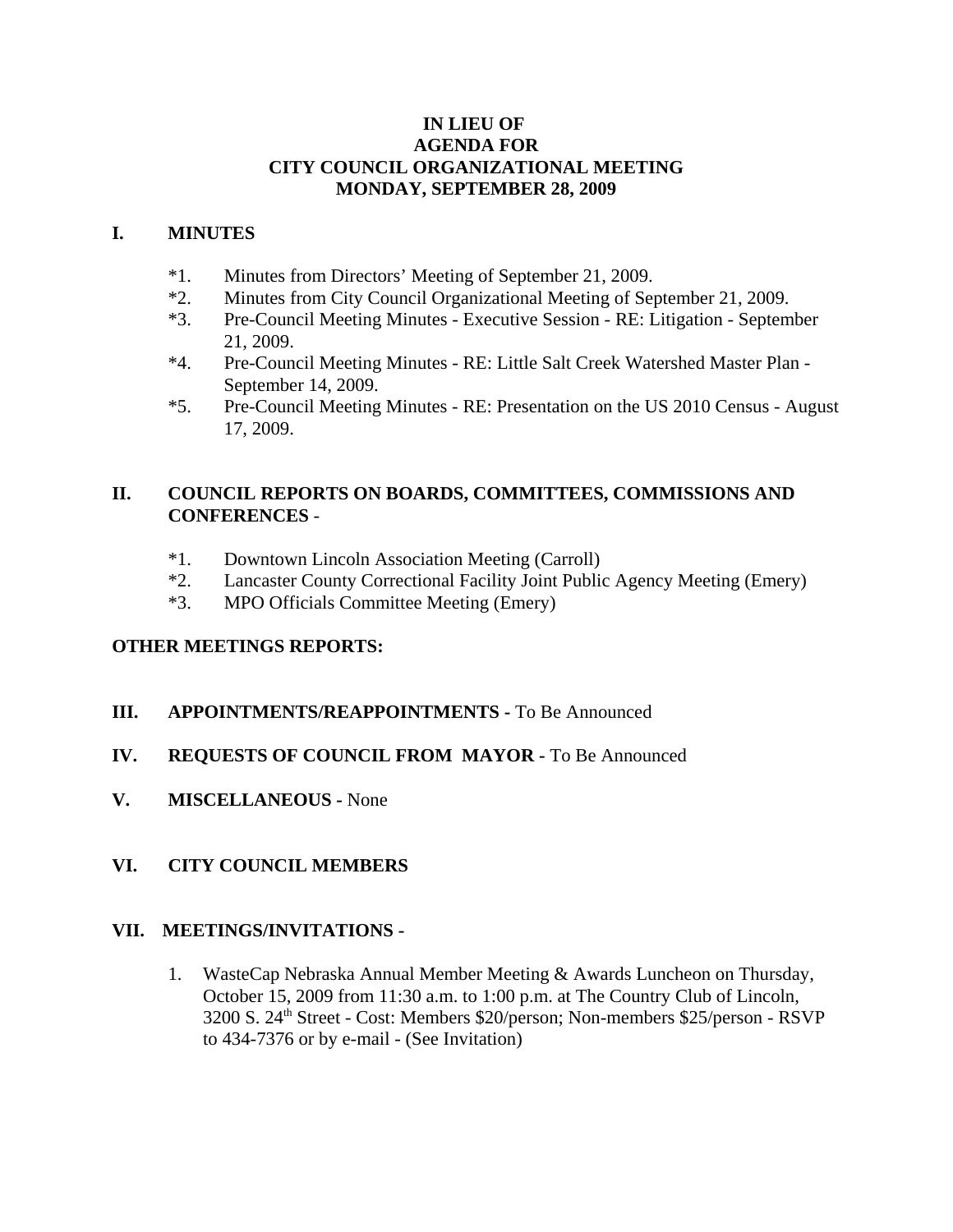#### **IN LIEU OF AGENDA FOR CITY COUNCIL ORGANIZATIONAL MEETING MONDAY, SEPTEMBER 28, 2009**

#### **I. MINUTES**

- \*1. Minutes from Directors' Meeting of September 21, 2009.
- \*2. Minutes from City Council Organizational Meeting of September 21, 2009.
- \*3. Pre-Council Meeting Minutes Executive Session RE: Litigation September 21, 2009.
- \*4. Pre-Council Meeting Minutes RE: Little Salt Creek Watershed Master Plan September 14, 2009.
- \*5. Pre-Council Meeting Minutes RE: Presentation on the US 2010 Census August 17, 2009.

# **II. COUNCIL REPORTS ON BOARDS, COMMITTEES, COMMISSIONS AND CONFERENCES** -

- \*1. Downtown Lincoln Association Meeting (Carroll)
- \*2. Lancaster County Correctional Facility Joint Public Agency Meeting (Emery)
- \*3. MPO Officials Committee Meeting (Emery)

# **OTHER MEETINGS REPORTS:**

**III. APPOINTMENTS/REAPPOINTMENTS -** To Be Announced

# **IV. REQUESTS OF COUNCIL FROM MAYOR -** To Be Announced

**V. MISCELLANEOUS -** None

# **VI. CITY COUNCIL MEMBERS**

#### **VII. MEETINGS/INVITATIONS -**

1. WasteCap Nebraska Annual Member Meeting & Awards Luncheon on Thursday, October 15, 2009 from 11:30 a.m. to 1:00 p.m. at The Country Club of Lincoln, 3200 S. 24th Street - Cost: Members \$20/person; Non-members \$25/person - RSVP to 434-7376 or by e-mail - (See Invitation)